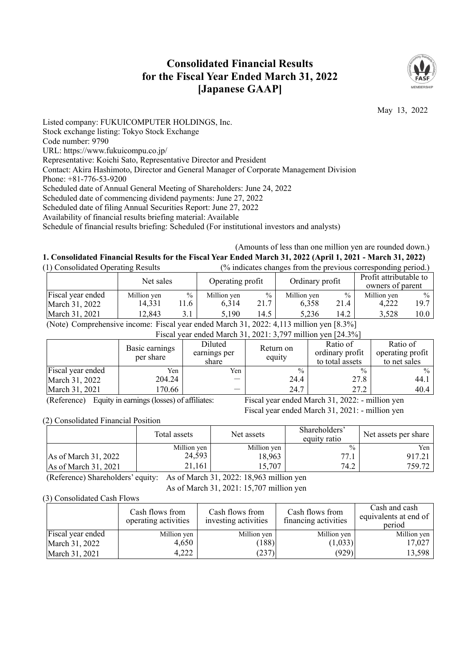# **Consolidated Financial Results for the Fiscal Year Ended March 31, 2022 [Japanese GAAP]**



May 13, 2022

Listed company: FUKUICOMPUTER HOLDINGS, Inc. Stock exchange listing: Tokyo Stock Exchange Code number: 9790 URL: https://www.fukuicompu.co.jp/ Representative: Koichi Sato, Representative Director and President Contact: Akira Hashimoto, Director and General Manager of Corporate Management Division Phone: +81-776-53-9200 Scheduled date of Annual General Meeting of Shareholders: June 24, 2022 Scheduled date of commencing dividend payments: June 27, 2022 Scheduled date of filing Annual Securities Report: June 27, 2022 Availability of financial results briefing material: Available Schedule of financial results briefing: Scheduled (For institutional investors and analysts)

(Amounts of less than one million yen are rounded down.) **1. Consolidated Financial Results for the Fiscal Year Ended March 31, 2022 (April 1, 2021 - March 31, 2022)** 

| (1) Consolidated Operating Results |             |      | (% indicates changes from the previous corresponding period.) |               |                 |      |                                            |                   |
|------------------------------------|-------------|------|---------------------------------------------------------------|---------------|-----------------|------|--------------------------------------------|-------------------|
|                                    | Net sales   |      | Operating profit                                              |               | Ordinary profit |      | Profit attributable to<br>owners of parent |                   |
| Fiscal year ended                  | Million yen | $\%$ | Million yen                                                   | $\frac{0}{0}$ | Million yen     | $\%$ | Million yen                                | $\frac{0}{0}$     |
| March 31, 2022                     | 14.331      | 11.6 | 6.314                                                         | 21.7          | 6.358           | 21.4 | 4.222                                      | 19.7 <sup>1</sup> |
| March 31, 2021                     | 12,843      | 3.1  | 5.190                                                         | 14.5          | 5.236           | 14.2 | 3,528                                      | 10.0              |

(Note) Comprehensive income: Fiscal year ended March 31, 2022: 4,113 million yen [8.3%]

| Fiscal year ended March 31, 2021: 3,797 million yen [24.3%] |                             |                                  |                     |                                                |                                              |  |
|-------------------------------------------------------------|-----------------------------|----------------------------------|---------------------|------------------------------------------------|----------------------------------------------|--|
|                                                             | Basic earnings<br>per share | Diluted<br>earnings per<br>share | Return on<br>equity | Ratio of<br>ordinary profit<br>to total assets | Ratio of<br>operating profit<br>to net sales |  |
| Fiscal year ended                                           | Yen                         | Yen                              | $\frac{0}{0}$       | $\frac{0}{0}$                                  | $\frac{0}{0}$                                |  |
| March 31, 2022                                              | 204.24                      |                                  | 24.4                | 27.8                                           | 44.1                                         |  |
| March 31, 2021                                              | 170.66                      |                                  | 24.7                | 27.2                                           | 40.4                                         |  |

(Reference) Equity in earnings (losses) of affiliates: Fiscal year ended March 31, 2022: - million yen

Fiscal year ended March 31, 2021: - million yen

(2) Consolidated Financial Position

|                        | Total assets | Net assets  | Shareholders'<br>equity ratio | Net assets per share |  |
|------------------------|--------------|-------------|-------------------------------|----------------------|--|
|                        | Million yen  | Million yen | $\frac{0}{0}$                 | Yen                  |  |
| As of March 31, 2022   | 24,593       | 18.963      | 77.1                          | 917.21               |  |
| As of March $31, 2021$ | 21.161       | 15,707      | 74.2                          | 759.72               |  |

(Reference) Shareholders' equity: As of March 31, 2022: 18,963 million yen

As of March 31, 2021: 15,707 million yen

(3) Consolidated Cash Flows

|                   | Cash flows from<br>operating activities | Cash flows from<br>investing activities | Cash flows from<br>financing activities | Cash and cash<br>equivalents at end of<br>period |
|-------------------|-----------------------------------------|-----------------------------------------|-----------------------------------------|--------------------------------------------------|
| Fiscal year ended | Million yen                             | Million yen                             | Million yen                             | Million yen                                      |
| March 31, 2022    | 4.650                                   | (188)                                   | (1,033)                                 | 17,027                                           |
| March 31, 2021    | 4.222                                   | (237)                                   | (929)                                   | 13,598                                           |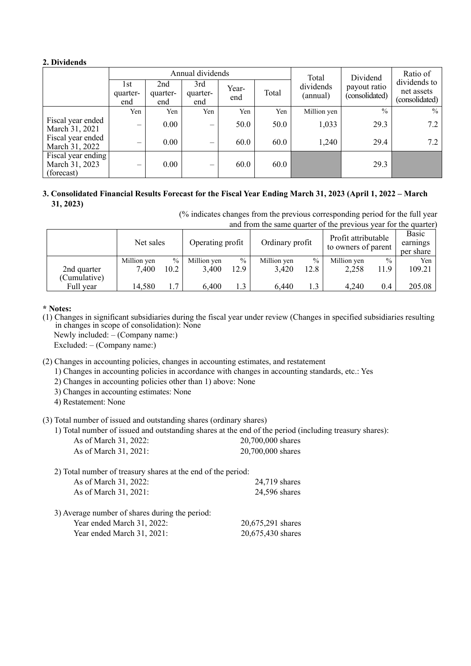# **2. Dividends**

|                                                    | Annual dividends       |                        |                                 |              |       | Total                 | Dividend                       | Ratio of                                     |
|----------------------------------------------------|------------------------|------------------------|---------------------------------|--------------|-------|-----------------------|--------------------------------|----------------------------------------------|
|                                                    | 1st<br>quarter-<br>end | 2nd<br>quarter-<br>end | 3rd<br>quarter-<br>end          | Year-<br>end | Total | dividends<br>(annual) | payout ratio<br>(consolidated) | dividends to<br>net assets<br>(consolidated) |
|                                                    | Yen                    | Yen                    | Yen                             | Yen          | Yen   | Million yen           | $\frac{0}{0}$                  | $\frac{0}{0}$                                |
| Fiscal year ended<br>March 31, 2021                | -                      | $0.00\,$               | $\hspace{0.1mm}-\hspace{0.1mm}$ | 50.0         | 50.0  | 1,033                 | 29.3                           | 7.2                                          |
| Fiscal year ended<br>March 31, 2022                | -                      | $0.00\,$               | $\overline{\phantom{0}}$        | 60.0         | 60.0  | 1,240                 | 29.4                           | 7.2                                          |
| Fiscal year ending<br>March 31, 2023<br>(forecast) | -                      | $0.00\,$               |                                 | 60.0         | 60.0  |                       | 29.3                           |                                              |

# **3. Consolidated Financial Results Forecast for the Fiscal Year Ending March 31, 2023 (April 1, 2022 – March 31, 2023)**

(% indicates changes from the previous corresponding period for the full year and from the same quarter of the previous year for the quarter)

|                           | Net sales            |                       | Operating profit     |                       | Ordinary profit      |                       | Profit attributable<br>to owners of parent |                       | Basic<br>earnings<br>per share |
|---------------------------|----------------------|-----------------------|----------------------|-----------------------|----------------------|-----------------------|--------------------------------------------|-----------------------|--------------------------------|
| 2nd quarter               | Million yen<br>7,400 | $\frac{0}{0}$<br>10.2 | Million yen<br>3.400 | $\frac{0}{0}$<br>12.9 | Million yen<br>3.420 | $\frac{0}{0}$<br>12.8 | Million yen<br>2,258                       | $\frac{0}{0}$<br>11.9 | Yen<br>109.21                  |
| (Cumulative)<br>Full year | 14,580               | 1.7                   | 6,400                | 1.3                   | 6.440                | 1.3                   | 4.240                                      | 0.4                   | 205.08                         |

## **\* Notes:**

(1) Changes in significant subsidiaries during the fiscal year under review (Changes in specified subsidiaries resulting in changes in scope of consolidation): None

Newly included: – (Company name:)

Excluded: – (Company name:)

(2) Changes in accounting policies, changes in accounting estimates, and restatement

1) Changes in accounting policies in accordance with changes in accounting standards, etc.: Yes

- 2) Changes in accounting policies other than 1) above: None
- 3) Changes in accounting estimates: None

4) Restatement: None

(3) Total number of issued and outstanding shares (ordinary shares)

|                       | 1) Total number of issued and outstanding shares at the end of the period (including treasury shares): |
|-----------------------|--------------------------------------------------------------------------------------------------------|
| As of March 31, 2022: | 20,700,000 shares                                                                                      |
| As of March 31, 2021: | 20,700,000 shares                                                                                      |

2) Total number of treasury shares at the end of the period: As of March 31, 2022: 24,719 shares As of March 31, 2021: 24,596 shares 3) Average number of shares during the period: Year ended March 31, 2022: 20,675,291 shares

Year ended March 31, 2021: 20,675,430 shares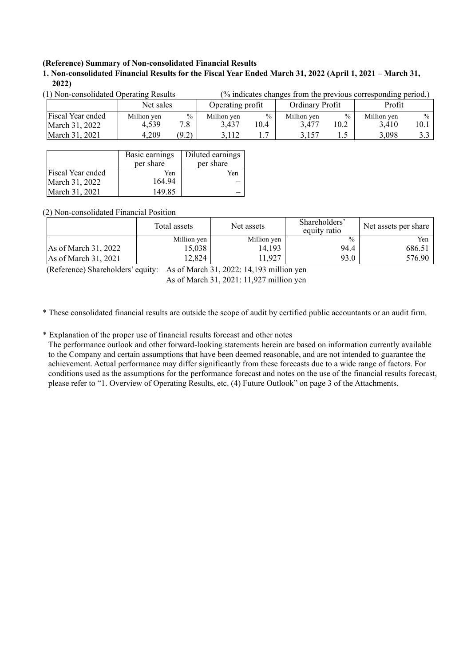### **(Reference) Summary of Non-consolidated Financial Results**

**1. Non-consolidated Financial Results for the Fiscal Year Ended March 31, 2022 (April 1, 2021 – March 31, 2022)** 

| $(1)$ Non-consolidated Operating Results |             |               | 70 marcates changes from the previous corresponding perfour) |      |                 |               |             |               |
|------------------------------------------|-------------|---------------|--------------------------------------------------------------|------|-----------------|---------------|-------------|---------------|
|                                          | Net sales   |               | Operating profit                                             |      | Ordinary Profit |               | Profit      |               |
| Fiscal Year ended                        | Million yen | $\frac{0}{0}$ | Million yen                                                  | 0/0  | Million ven     | $\frac{0}{0}$ | Million ven | $\frac{0}{0}$ |
| March 31, 2022                           | 4.539       | 7.8           | 3.437                                                        | 10.4 | 3.477           | 10.2          | 3.410       | 10.1          |
| March 31, 2021                           | 4,209       | (9.2)         | 3.112                                                        |      | 3.157           | ن . 1         | 3.098       | 3.3           |

(1) Non-consolidated Operating Results (% indicates changes from the previous corresponding period.)

|                   | Basic earnings<br>per share | Diluted earnings<br>per share |
|-------------------|-----------------------------|-------------------------------|
| Fiscal Year ended | Yen                         | Yen                           |
| March 31, 2022    | 164.94                      |                               |
| March 31, 2021    | 149.85                      |                               |

(2) Non-consolidated Financial Position

|                                | Total assets | Net assets  | Shareholders'<br>equity ratio | Net assets per share |  |
|--------------------------------|--------------|-------------|-------------------------------|----------------------|--|
|                                | Million yen  | Million yen | $\frac{0}{0}$                 | Yen                  |  |
| As of March $31, 2022$         | 15.038       | 14,193      | 94.4                          | 686.51               |  |
| $\text{As of March } 31, 2021$ | '2,824       | 1,927       | 93.0                          | 576.90               |  |

(Reference) Shareholders' equity: As of March 31, 2022: 14,193 million yen As of March 31, 2021: 11,927 million yen

\* These consolidated financial results are outside the scope of audit by certified public accountants or an audit firm.

\* Explanation of the proper use of financial results forecast and other notes

The performance outlook and other forward-looking statements herein are based on information currently available to the Company and certain assumptions that have been deemed reasonable, and are not intended to guarantee the achievement. Actual performance may differ significantly from these forecasts due to a wide range of factors. For conditions used as the assumptions for the performance forecast and notes on the use of the financial results forecast, please refer to "1. Overview of Operating Results, etc. (4) Future Outlook" on page 3 of the Attachments.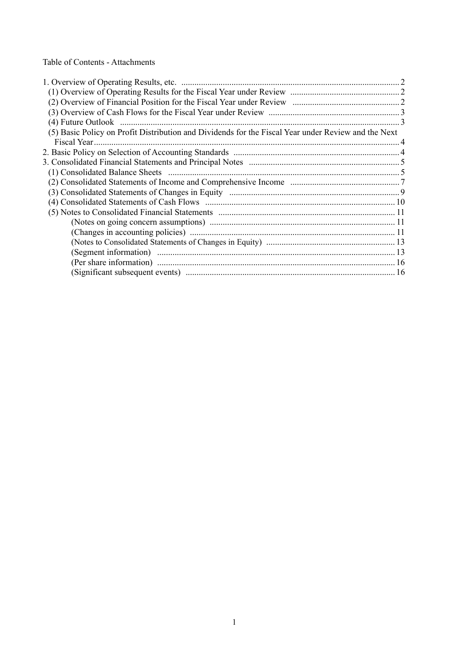Table of Contents - Attachments

| (5) Basic Policy on Profit Distribution and Dividends for the Fiscal Year under Review and the Next |  |
|-----------------------------------------------------------------------------------------------------|--|
|                                                                                                     |  |
|                                                                                                     |  |
|                                                                                                     |  |
|                                                                                                     |  |
|                                                                                                     |  |
|                                                                                                     |  |
|                                                                                                     |  |
|                                                                                                     |  |
|                                                                                                     |  |
|                                                                                                     |  |
|                                                                                                     |  |
|                                                                                                     |  |
|                                                                                                     |  |
|                                                                                                     |  |
|                                                                                                     |  |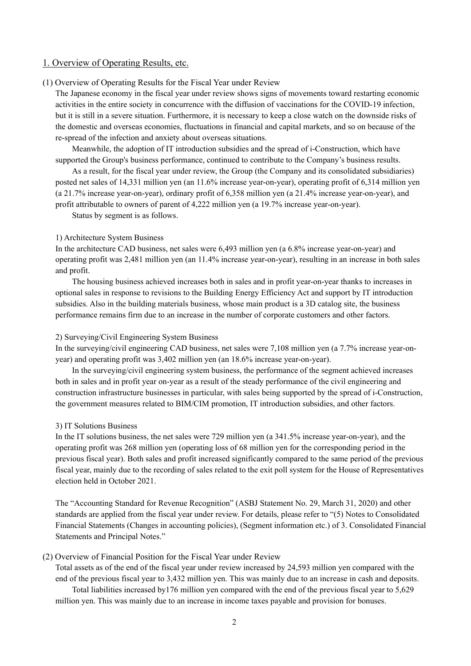### 1. Overview of Operating Results, etc.

### (1) Overview of Operating Results for the Fiscal Year under Review

The Japanese economy in the fiscal year under review shows signs of movements toward restarting economic activities in the entire society in concurrence with the diffusion of vaccinations for the COVID-19 infection, but it is still in a severe situation. Furthermore, it is necessary to keep a close watch on the downside risks of the domestic and overseas economies, fluctuations in financial and capital markets, and so on because of the re-spread of the infection and anxiety about overseas situations.

Meanwhile, the adoption of IT introduction subsidies and the spread of i-Construction, which have supported the Group's business performance, continued to contribute to the Company's business results.

As a result, for the fiscal year under review, the Group (the Company and its consolidated subsidiaries) posted net sales of 14,331 million yen (an 11.6% increase year-on-year), operating profit of 6,314 million yen (a 21.7% increase year-on-year), ordinary profit of 6,358 million yen (a 21.4% increase year-on-year), and profit attributable to owners of parent of 4,222 million yen (a 19.7% increase year-on-year).

Status by segment is as follows.

### 1) Architecture System Business

In the architecture CAD business, net sales were 6,493 million yen (a 6.8% increase year-on-year) and operating profit was 2,481 million yen (an 11.4% increase year-on-year), resulting in an increase in both sales and profit.

The housing business achieved increases both in sales and in profit year-on-year thanks to increases in optional sales in response to revisions to the Building Energy Efficiency Act and support by IT introduction subsidies. Also in the building materials business, whose main product is a 3D catalog site, the business performance remains firm due to an increase in the number of corporate customers and other factors.

#### 2) Surveying/Civil Engineering System Business

In the surveying/civil engineering CAD business, net sales were 7,108 million yen (a 7.7% increase year-onyear) and operating profit was 3,402 million yen (an 18.6% increase year-on-year).

In the surveying/civil engineering system business, the performance of the segment achieved increases both in sales and in profit year on-year as a result of the steady performance of the civil engineering and construction infrastructure businesses in particular, with sales being supported by the spread of i-Construction, the government measures related to BIM/CIM promotion, IT introduction subsidies, and other factors.

#### 3) IT Solutions Business

In the IT solutions business, the net sales were 729 million yen (a 341.5% increase year-on-year), and the operating profit was 268 million yen (operating loss of 68 million yen for the corresponding period in the previous fiscal year). Both sales and profit increased significantly compared to the same period of the previous fiscal year, mainly due to the recording of sales related to the exit poll system for the House of Representatives election held in October 2021.

The "Accounting Standard for Revenue Recognition" (ASBJ Statement No. 29, March 31, 2020) and other standards are applied from the fiscal year under review. For details, please refer to "(5) Notes to Consolidated Financial Statements (Changes in accounting policies), (Segment information etc.) of 3. Consolidated Financial Statements and Principal Notes."

#### (2) Overview of Financial Position for the Fiscal Year under Review

Total assets as of the end of the fiscal year under review increased by 24,593 million yen compared with the end of the previous fiscal year to 3,432 million yen. This was mainly due to an increase in cash and deposits.

Total liabilities increased by176 million yen compared with the end of the previous fiscal year to 5,629 million yen. This was mainly due to an increase in income taxes payable and provision for bonuses.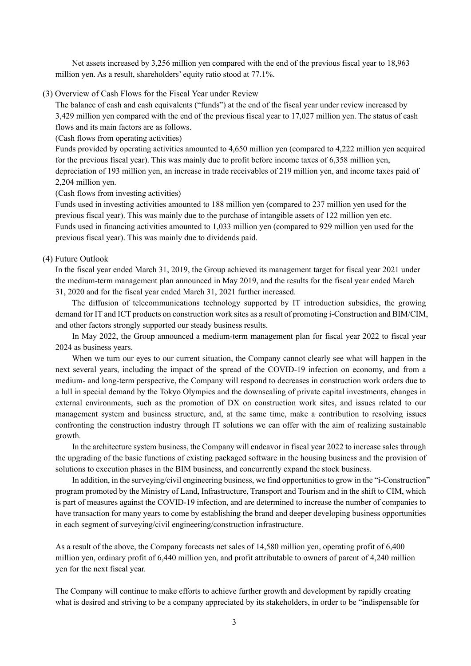Net assets increased by 3,256 million yen compared with the end of the previous fiscal year to 18,963 million yen. As a result, shareholders' equity ratio stood at 77.1%.

(3) Overview of Cash Flows for the Fiscal Year under Review

The balance of cash and cash equivalents ("funds") at the end of the fiscal year under review increased by 3,429 million yen compared with the end of the previous fiscal year to 17,027 million yen. The status of cash flows and its main factors are as follows.

(Cash flows from operating activities)

Funds provided by operating activities amounted to 4,650 million yen (compared to 4,222 million yen acquired for the previous fiscal year). This was mainly due to profit before income taxes of 6,358 million yen, depreciation of 193 million yen, an increase in trade receivables of 219 million yen, and income taxes paid of 2,204 million yen.

(Cash flows from investing activities)

Funds used in investing activities amounted to 188 million yen (compared to 237 million yen used for the previous fiscal year). This was mainly due to the purchase of intangible assets of 122 million yen etc. Funds used in financing activities amounted to 1,033 million yen (compared to 929 million yen used for the previous fiscal year). This was mainly due to dividends paid.

### (4) Future Outlook

In the fiscal year ended March 31, 2019, the Group achieved its management target for fiscal year 2021 under the medium-term management plan announced in May 2019, and the results for the fiscal year ended March 31, 2020 and for the fiscal year ended March 31, 2021 further increased.

The diffusion of telecommunications technology supported by IT introduction subsidies, the growing demand for IT and ICT products on construction work sites as a result of promoting i-Construction and BIM/CIM, and other factors strongly supported our steady business results.

In May 2022, the Group announced a medium-term management plan for fiscal year 2022 to fiscal year 2024 as business years.

When we turn our eyes to our current situation, the Company cannot clearly see what will happen in the next several years, including the impact of the spread of the COVID-19 infection on economy, and from a medium- and long-term perspective, the Company will respond to decreases in construction work orders due to a lull in special demand by the Tokyo Olympics and the downscaling of private capital investments, changes in external environments, such as the promotion of DX on construction work sites, and issues related to our management system and business structure, and, at the same time, make a contribution to resolving issues confronting the construction industry through IT solutions we can offer with the aim of realizing sustainable growth.

In the architecture system business, the Company will endeavor in fiscal year 2022 to increase sales through the upgrading of the basic functions of existing packaged software in the housing business and the provision of solutions to execution phases in the BIM business, and concurrently expand the stock business.

In addition, in the surveying/civil engineering business, we find opportunities to grow in the "i-Construction" program promoted by the Ministry of Land, Infrastructure, Transport and Tourism and in the shift to CIM, which is part of measures against the COVID-19 infection, and are determined to increase the number of companies to have transaction for many years to come by establishing the brand and deeper developing business opportunities in each segment of surveying/civil engineering/construction infrastructure.

As a result of the above, the Company forecasts net sales of 14,580 million yen, operating profit of 6,400 million yen, ordinary profit of 6,440 million yen, and profit attributable to owners of parent of 4,240 million yen for the next fiscal year.

The Company will continue to make efforts to achieve further growth and development by rapidly creating what is desired and striving to be a company appreciated by its stakeholders, in order to be "indispensable for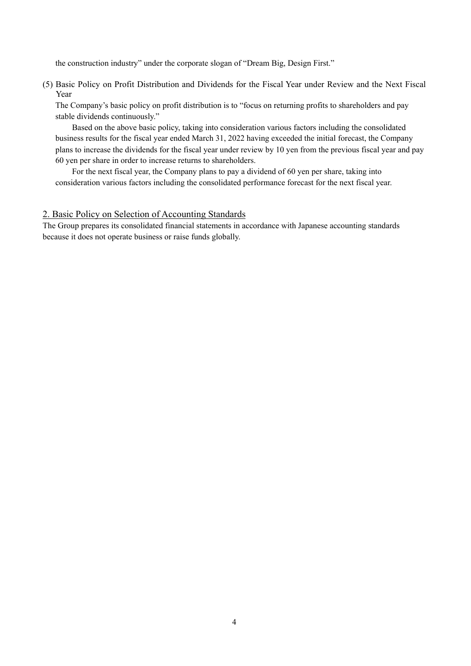the construction industry" under the corporate slogan of "Dream Big, Design First."

(5) Basic Policy on Profit Distribution and Dividends for the Fiscal Year under Review and the Next Fiscal Year

The Company's basic policy on profit distribution is to "focus on returning profits to shareholders and pay stable dividends continuously."

Based on the above basic policy, taking into consideration various factors including the consolidated business results for the fiscal year ended March 31, 2022 having exceeded the initial forecast, the Company plans to increase the dividends for the fiscal year under review by 10 yen from the previous fiscal year and pay 60 yen per share in order to increase returns to shareholders.

For the next fiscal year, the Company plans to pay a dividend of 60 yen per share, taking into consideration various factors including the consolidated performance forecast for the next fiscal year.

# 2. Basic Policy on Selection of Accounting Standards

The Group prepares its consolidated financial statements in accordance with Japanese accounting standards because it does not operate business or raise funds globally.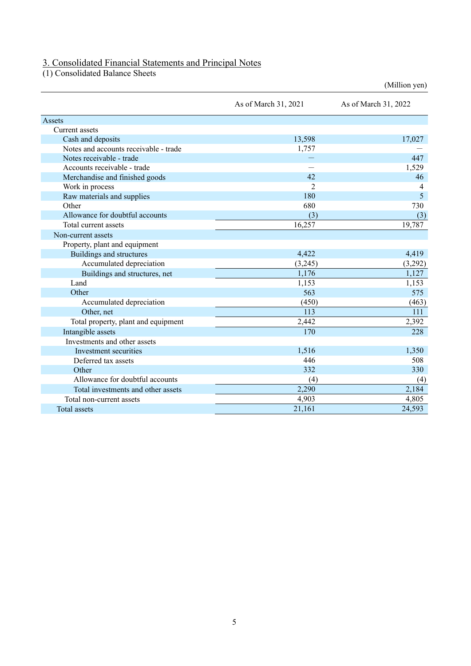# 3. Consolidated Financial Statements and Principal Notes

(1) Consolidated Balance Sheets

|                                       |                      | (Million yen)        |
|---------------------------------------|----------------------|----------------------|
|                                       | As of March 31, 2021 | As of March 31, 2022 |
| Assets                                |                      |                      |
| Current assets                        |                      |                      |
| Cash and deposits                     | 13,598               | 17,027               |
| Notes and accounts receivable - trade | 1,757                |                      |
| Notes receivable - trade              |                      | 447                  |
| Accounts receivable - trade           |                      | 1,529                |
| Merchandise and finished goods        | 42                   | 46                   |
| Work in process                       | $\overline{2}$       | 4                    |
| Raw materials and supplies            | 180                  | 5                    |
| Other                                 | 680                  | 730                  |
| Allowance for doubtful accounts       | (3)                  | (3)                  |
| Total current assets                  | 16,257               | 19,787               |
| Non-current assets                    |                      |                      |
| Property, plant and equipment         |                      |                      |
| Buildings and structures              | 4,422                | 4,419                |
| Accumulated depreciation              | (3,245)              | (3,292)              |
| Buildings and structures, net         | 1,176                | 1,127                |
| Land                                  | 1,153                | 1,153                |
| Other                                 | 563                  | 575                  |
| Accumulated depreciation              | (450)                | (463)                |
| Other, net                            | 113                  | 111                  |
| Total property, plant and equipment   | 2,442                | 2,392                |
| Intangible assets                     | 170                  | 228                  |
| Investments and other assets          |                      |                      |
| Investment securities                 | 1,516                | 1,350                |
| Deferred tax assets                   | 446                  | 508                  |
| Other                                 | 332                  | 330                  |
| Allowance for doubtful accounts       | (4)                  | (4)                  |
| Total investments and other assets    | 2,290                | 2,184                |
| Total non-current assets              | 4,903                | 4,805                |
| Total assets                          | 21,161               | 24,593               |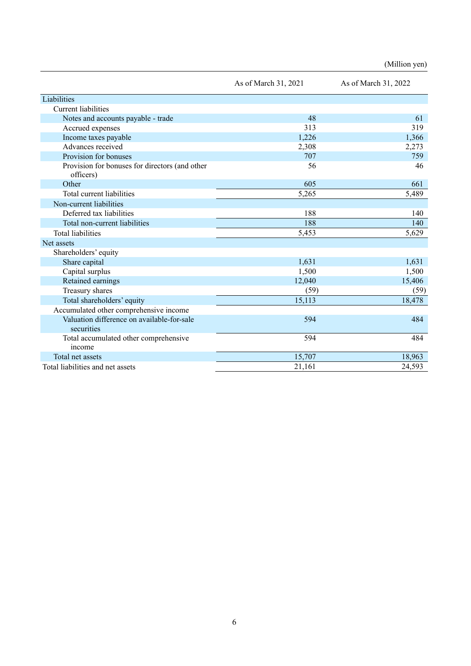(Million yen)

|                                                             | As of March 31, 2021 | As of March 31, 2022 |
|-------------------------------------------------------------|----------------------|----------------------|
| Liabilities                                                 |                      |                      |
| <b>Current liabilities</b>                                  |                      |                      |
| Notes and accounts payable - trade                          | 48                   | 61                   |
| Accrued expenses                                            | 313                  | 319                  |
| Income taxes payable                                        | 1,226                | 1,366                |
| Advances received                                           | 2,308                | 2,273                |
| Provision for bonuses                                       | 707                  | 759                  |
| Provision for bonuses for directors (and other<br>officers) | 56                   | 46                   |
| Other                                                       | 605                  | 661                  |
| Total current liabilities                                   | 5,265                | 5,489                |
| Non-current liabilities                                     |                      |                      |
| Deferred tax liabilities                                    | 188                  | 140                  |
| Total non-current liabilities                               | 188                  | 140                  |
| <b>Total liabilities</b>                                    | 5,453                | 5,629                |
| Net assets                                                  |                      |                      |
| Shareholders' equity                                        |                      |                      |
| Share capital                                               | 1,631                | 1,631                |
| Capital surplus                                             | 1,500                | 1,500                |
| Retained earnings                                           | 12,040               | 15,406               |
| Treasury shares                                             | (59)                 | (59)                 |
| Total shareholders' equity                                  | 15,113               | 18,478               |
| Accumulated other comprehensive income                      |                      |                      |
| Valuation difference on available-for-sale<br>securities    | 594                  | 484                  |
| Total accumulated other comprehensive<br>income             | 594                  | 484                  |
| Total net assets                                            | 15,707               | 18,963               |
| Total liabilities and net assets                            | 21,161               | 24,593               |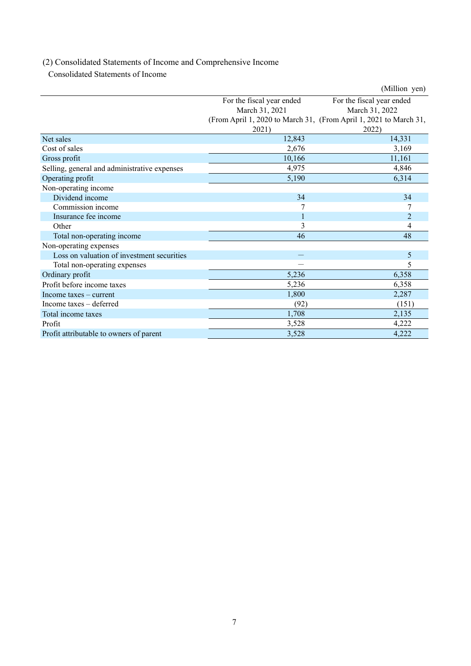# (2) Consolidated Statements of Income and Comprehensive Income

Consolidated Statements of Income

|                                              |                           | (Million yen)                                                     |
|----------------------------------------------|---------------------------|-------------------------------------------------------------------|
|                                              | For the fiscal year ended | For the fiscal year ended                                         |
|                                              | March 31, 2021            | March 31, 2022                                                    |
|                                              |                           | (From April 1, 2020 to March 31, (From April 1, 2021 to March 31, |
|                                              | 2021)                     | 2022)                                                             |
| Net sales                                    | 12,843                    | 14,331                                                            |
| Cost of sales                                | 2,676                     | 3,169                                                             |
| Gross profit                                 | 10,166                    | 11,161                                                            |
| Selling, general and administrative expenses | 4,975                     | 4,846                                                             |
| Operating profit                             | 5,190                     | 6,314                                                             |
| Non-operating income                         |                           |                                                                   |
| Dividend income                              | 34                        | 34                                                                |
| Commission income                            |                           |                                                                   |
| Insurance fee income                         | $\mathbf{1}$              | $\overline{2}$                                                    |
| Other                                        | 3                         | 4                                                                 |
| Total non-operating income                   | 46                        | 48                                                                |
| Non-operating expenses                       |                           |                                                                   |
| Loss on valuation of investment securities   |                           | 5                                                                 |
| Total non-operating expenses                 |                           | 5                                                                 |
| Ordinary profit                              | 5,236                     | 6,358                                                             |
| Profit before income taxes                   | 5,236                     | 6,358                                                             |
| Income taxes $-$ current                     | 1,800                     | 2,287                                                             |
| Income taxes – deferred                      | (92)                      | (151)                                                             |
| Total income taxes                           | 1,708                     | 2,135                                                             |
| Profit                                       | 3,528                     | 4,222                                                             |
| Profit attributable to owners of parent      | 3,528                     | 4,222                                                             |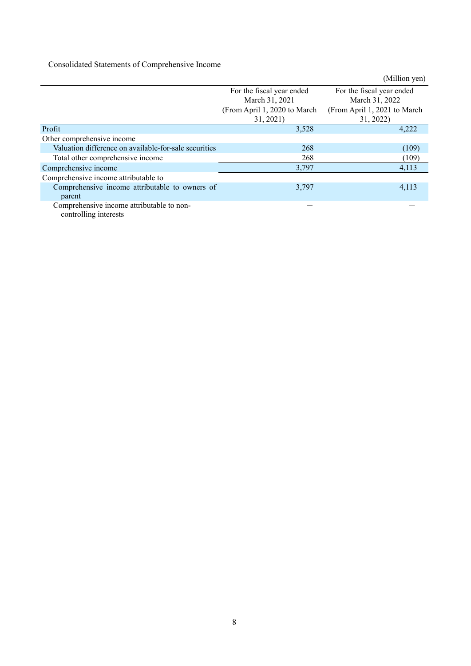# Consolidated Statements of Comprehensive Income

|                                                       |                               | (Million yen)                |
|-------------------------------------------------------|-------------------------------|------------------------------|
|                                                       | For the fiscal year ended     | For the fiscal year ended    |
|                                                       | March 31, 2021                | March 31, 2022               |
|                                                       | (From April 1, 2020 to March) | (From April 1, 2021 to March |
|                                                       | 31, 2021)                     | 31, 2022)                    |
| Profit                                                | 3,528                         | 4,222                        |
| Other comprehensive income                            |                               |                              |
| Valuation difference on available-for-sale securities | 268                           | (109)                        |
| Total other comprehensive income                      | 268                           | (109)                        |
| Comprehensive income                                  | 3,797                         | 4,113                        |
| Comprehensive income attributable to                  |                               |                              |
| Comprehensive income attributable to owners of        | 3,797                         | 4,113                        |
| parent                                                |                               |                              |
| Comprehensive income attributable to non-             |                               |                              |
| controlling interests                                 |                               |                              |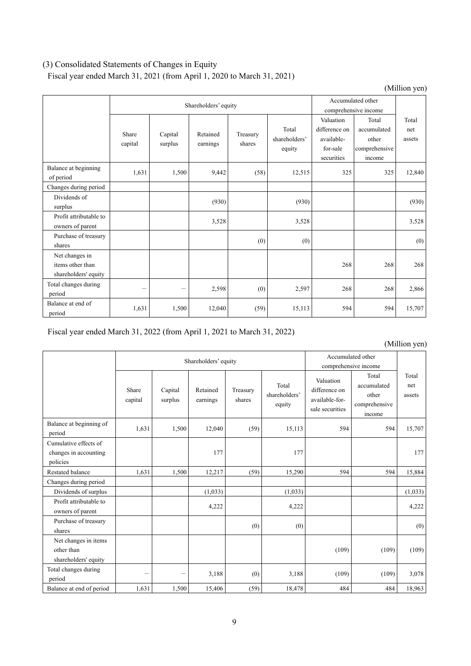# (3) Consolidated Statements of Changes in Equity

Fiscal year ended March 31, 2021 (from April 1, 2020 to March 31, 2021)

|                                                            |                  |                      |                      |                    |                                  |                                                                    |                                                          | (Million yen)          |
|------------------------------------------------------------|------------------|----------------------|----------------------|--------------------|----------------------------------|--------------------------------------------------------------------|----------------------------------------------------------|------------------------|
|                                                            |                  | Shareholders' equity |                      |                    |                                  |                                                                    | Accumulated other<br>comprehensive income                |                        |
|                                                            | Share<br>capital | Capital<br>surplus   | Retained<br>earnings | Treasury<br>shares | Total<br>shareholders'<br>equity | Valuation<br>difference on<br>available-<br>for-sale<br>securities | Total<br>accumulated<br>other<br>comprehensive<br>income | Total<br>net<br>assets |
| Balance at beginning<br>of period                          | 1,631            | 1,500                | 9,442                | (58)               | 12,515                           | 325                                                                | 325                                                      | 12,840                 |
| Changes during period                                      |                  |                      |                      |                    |                                  |                                                                    |                                                          |                        |
| Dividends of<br>surplus                                    |                  |                      | (930)                |                    | (930)                            |                                                                    |                                                          | (930)                  |
| Profit attributable to<br>owners of parent                 |                  |                      | 3,528                |                    | 3,528                            |                                                                    |                                                          | 3,528                  |
| Purchase of treasury<br>shares                             |                  |                      |                      | (0)                | (0)                              |                                                                    |                                                          | (0)                    |
| Net changes in<br>items other than<br>shareholders' equity |                  |                      |                      |                    |                                  | 268                                                                | 268                                                      | 268                    |
| Total changes during<br>period                             |                  |                      | 2,598                | (0)                | 2,597                            | 268                                                                | 268                                                      | 2,866                  |
| Balance at end of<br>period                                | 1,631            | 1,500                | 12,040               | (59)               | 15,113                           | 594                                                                | 594                                                      | 15,707                 |

Fiscal year ended March 31, 2022 (from April 1, 2021 to March 31, 2022)

|                                                            |                  | Shareholders' equity |                      |                    |                                  |                                                                 | Accumulated other<br>comprehensive income                |                        |  |
|------------------------------------------------------------|------------------|----------------------|----------------------|--------------------|----------------------------------|-----------------------------------------------------------------|----------------------------------------------------------|------------------------|--|
|                                                            | Share<br>capital | Capital<br>surplus   | Retained<br>earnings | Treasury<br>shares | Total<br>shareholders'<br>equity | Valuation<br>difference on<br>available-for-<br>sale securities | Total<br>accumulated<br>other<br>comprehensive<br>income | Total<br>net<br>assets |  |
| Balance at beginning of<br>period                          | 1,631            | 1,500                | 12,040               | (59)               | 15,113                           | 594                                                             | 594                                                      | 15,707                 |  |
| Cumulative effects of<br>changes in accounting<br>policies |                  |                      | 177                  |                    | 177                              |                                                                 |                                                          | 177                    |  |
| Restated balance                                           | 1.631            | 1,500                | 12,217               | (59)               | 15,290                           | 594                                                             | 594                                                      | 15,884                 |  |
| Changes during period                                      |                  |                      |                      |                    |                                  |                                                                 |                                                          |                        |  |
| Dividends of surplus                                       |                  |                      | (1,033)              |                    | (1,033)                          |                                                                 |                                                          | (1,033)                |  |
| Profit attributable to<br>owners of parent                 |                  |                      | 4,222                |                    | 4,222                            |                                                                 |                                                          | 4,222                  |  |
| Purchase of treasury<br>shares                             |                  |                      |                      | (0)                | (0)                              |                                                                 |                                                          | (0)                    |  |
| Net changes in items<br>other than<br>shareholders' equity |                  |                      |                      |                    |                                  | (109)                                                           | (109)                                                    | (109)                  |  |
| Total changes during<br>period                             |                  |                      | 3,188                | (0)                | 3,188                            | (109)                                                           | (109)                                                    | 3,078                  |  |
| Balance at end of period                                   | 1,631            | 1,500                | 15,406               | (59)               | 18,478                           | 484                                                             | 484                                                      | 18,963                 |  |

## (Million yen)

9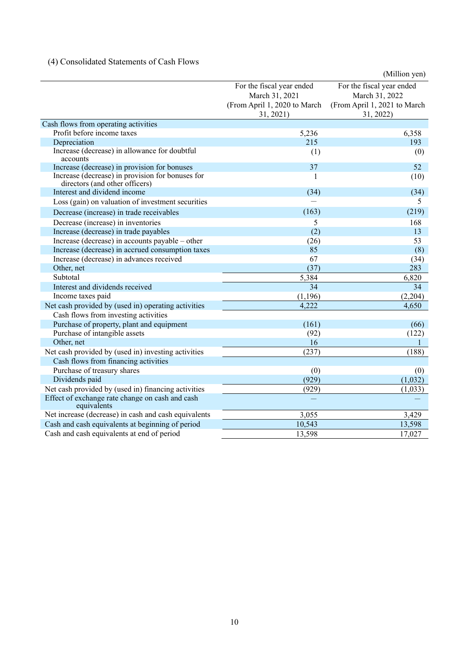# (4) Consolidated Statements of Cash Flows

|                                                                                    |                              | (Million yen)                |
|------------------------------------------------------------------------------------|------------------------------|------------------------------|
|                                                                                    | For the fiscal year ended    | For the fiscal year ended    |
|                                                                                    | March 31, 2021               | March 31, 2022               |
|                                                                                    | (From April 1, 2020 to March | (From April 1, 2021 to March |
|                                                                                    | 31, 2021)                    | 31, 2022)                    |
| Cash flows from operating activities                                               |                              |                              |
| Profit before income taxes                                                         | 5,236                        | 6,358                        |
| Depreciation                                                                       | 215                          | 193                          |
| Increase (decrease) in allowance for doubtful<br>accounts                          | (1)                          | (0)                          |
| Increase (decrease) in provision for bonuses                                       | 37                           | 52                           |
| Increase (decrease) in provision for bonuses for<br>directors (and other officers) | 1                            | (10)                         |
| Interest and dividend income                                                       | (34)                         | (34)                         |
| Loss (gain) on valuation of investment securities                                  |                              | 5                            |
| Decrease (increase) in trade receivables                                           | (163)                        | (219)                        |
| Decrease (increase) in inventories                                                 | 5                            | 168                          |
| Increase (decrease) in trade payables                                              | (2)                          | 13                           |
| Increase (decrease) in accounts payable – other                                    | (26)                         | 53                           |
| Increase (decrease) in accrued consumption taxes                                   | 85                           | (8)                          |
| Increase (decrease) in advances received                                           | 67                           | (34)                         |
| Other, net                                                                         | (37)                         | 283                          |
| Subtotal                                                                           | 5,384                        | 6,820                        |
| Interest and dividends received                                                    | 34                           | 34                           |
| Income taxes paid                                                                  | (1, 196)                     | (2,204)                      |
| Net cash provided by (used in) operating activities                                | 4,222                        | 4,650                        |
| Cash flows from investing activities                                               |                              |                              |
| Purchase of property, plant and equipment                                          | (161)                        | (66)                         |
| Purchase of intangible assets                                                      | (92)                         | (122)                        |
| Other, net                                                                         | 16                           |                              |
| Net cash provided by (used in) investing activities                                | (237)                        | (188)                        |
| Cash flows from financing activities                                               |                              |                              |
| Purchase of treasury shares                                                        | (0)                          | (0)                          |
| Dividends paid                                                                     | (929)                        | (1,032)                      |
| Net cash provided by (used in) financing activities                                | (929)                        | (1,033)                      |
| Effect of exchange rate change on cash and cash<br>equivalents                     |                              |                              |
| Net increase (decrease) in cash and cash equivalents                               | 3,055                        | 3,429                        |
| Cash and cash equivalents at beginning of period                                   | 10,543                       | 13,598                       |
| Cash and cash equivalents at end of period                                         | 13,598                       | 17,027                       |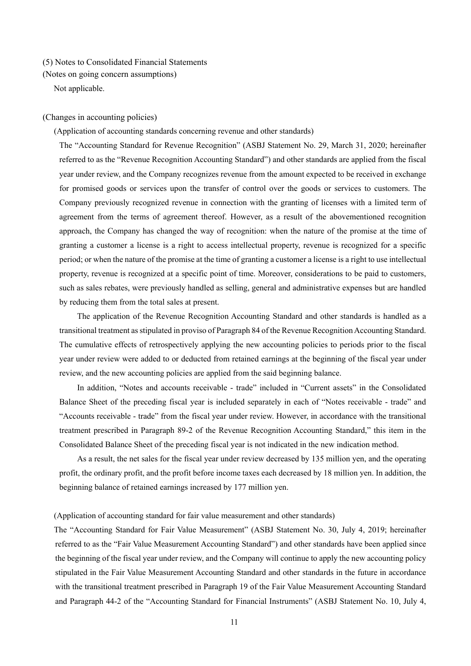### (5) Notes to Consolidated Financial Statements

(Notes on going concern assumptions)

Not applicable.

### (Changes in accounting policies)

(Application of accounting standards concerning revenue and other standards)

The "Accounting Standard for Revenue Recognition" (ASBJ Statement No. 29, March 31, 2020; hereinafter referred to as the "Revenue Recognition Accounting Standard") and other standards are applied from the fiscal year under review, and the Company recognizes revenue from the amount expected to be received in exchange for promised goods or services upon the transfer of control over the goods or services to customers. The Company previously recognized revenue in connection with the granting of licenses with a limited term of agreement from the terms of agreement thereof. However, as a result of the abovementioned recognition approach, the Company has changed the way of recognition: when the nature of the promise at the time of granting a customer a license is a right to access intellectual property, revenue is recognized for a specific period; or when the nature of the promise at the time of granting a customer a license is a right to use intellectual property, revenue is recognized at a specific point of time. Moreover, considerations to be paid to customers, such as sales rebates, were previously handled as selling, general and administrative expenses but are handled by reducing them from the total sales at present.

The application of the Revenue Recognition Accounting Standard and other standards is handled as a transitional treatment as stipulated in proviso of Paragraph 84 of the Revenue Recognition Accounting Standard. The cumulative effects of retrospectively applying the new accounting policies to periods prior to the fiscal year under review were added to or deducted from retained earnings at the beginning of the fiscal year under review, and the new accounting policies are applied from the said beginning balance.

In addition, "Notes and accounts receivable - trade" included in "Current assets" in the Consolidated Balance Sheet of the preceding fiscal year is included separately in each of "Notes receivable - trade" and "Accounts receivable - trade" from the fiscal year under review. However, in accordance with the transitional treatment prescribed in Paragraph 89-2 of the Revenue Recognition Accounting Standard," this item in the Consolidated Balance Sheet of the preceding fiscal year is not indicated in the new indication method.

As a result, the net sales for the fiscal year under review decreased by 135 million yen, and the operating profit, the ordinary profit, and the profit before income taxes each decreased by 18 million yen. In addition, the beginning balance of retained earnings increased by 177 million yen.

### (Application of accounting standard for fair value measurement and other standards)

The "Accounting Standard for Fair Value Measurement" (ASBJ Statement No. 30, July 4, 2019; hereinafter referred to as the "Fair Value Measurement Accounting Standard") and other standards have been applied since the beginning of the fiscal year under review, and the Company will continue to apply the new accounting policy stipulated in the Fair Value Measurement Accounting Standard and other standards in the future in accordance with the transitional treatment prescribed in Paragraph 19 of the Fair Value Measurement Accounting Standard and Paragraph 44-2 of the "Accounting Standard for Financial Instruments" (ASBJ Statement No. 10, July 4,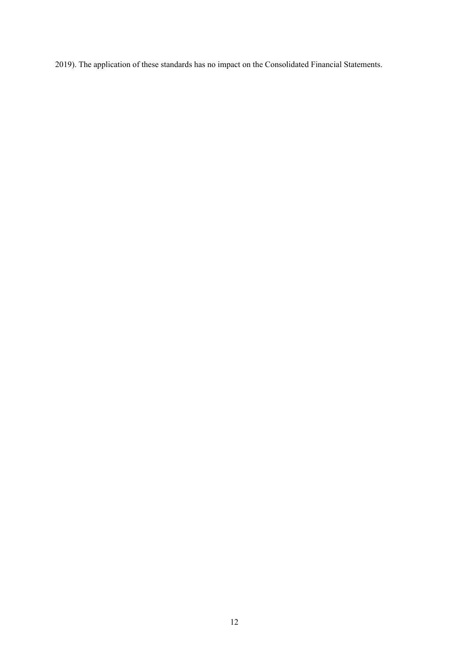2019). The application of these standards has no impact on the Consolidated Financial Statements.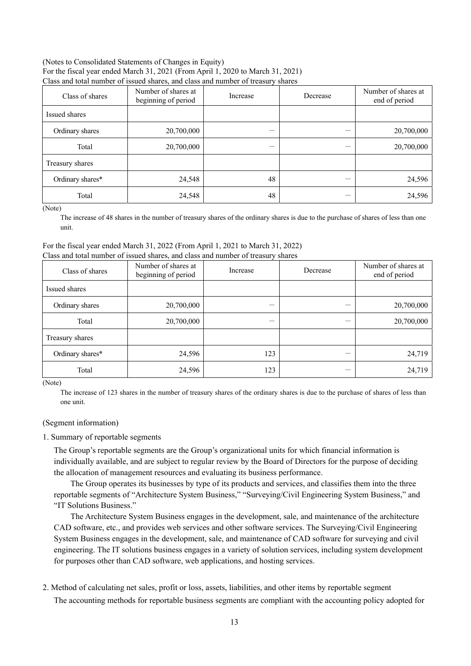### (Notes to Consolidated Statements of Changes in Equity) For the fiscal year ended March 31, 2021 (From April 1, 2020 to March 31, 2021) Class and total number of issued shares, and class and number of treasury shares

| Class of shares  | Number of shares at<br>beginning of period | Increase | Decrease | Number of shares at<br>end of period |
|------------------|--------------------------------------------|----------|----------|--------------------------------------|
| Issued shares    |                                            |          |          |                                      |
| Ordinary shares  | 20,700,000                                 |          |          | 20,700,000                           |
| Total            | 20,700,000                                 |          |          | 20,700,000                           |
| Treasury shares  |                                            |          |          |                                      |
| Ordinary shares* | 24,548                                     | 48       |          | 24,596                               |
| Total            | 24,548                                     | 48       |          | 24,596                               |

(Note)

The increase of 48 shares in the number of treasury shares of the ordinary shares is due to the purchase of shares of less than one unit.

### For the fiscal year ended March 31, 2022 (From April 1, 2021 to March 31, 2022) Class and total number of issued shares, and class and number of treasury shares

| Class of shares  | Number of shares at<br>beginning of period | Increase | Decrease | Number of shares at<br>end of period |
|------------------|--------------------------------------------|----------|----------|--------------------------------------|
| Issued shares    |                                            |          |          |                                      |
| Ordinary shares  | 20,700,000                                 | –        |          | 20,700,000                           |
| Total            | 20,700,000                                 | –        |          | 20,700,000                           |
| Treasury shares  |                                            |          |          |                                      |
| Ordinary shares* | 24,596                                     | 123      |          | 24,719                               |
| Total            | 24,596                                     | 123      |          | 24,719                               |

(Note)

The increase of 123 shares in the number of treasury shares of the ordinary shares is due to the purchase of shares of less than one unit.

# (Segment information)

### 1. Summary of reportable segments

The Group's reportable segments are the Group's organizational units for which financial information is individually available, and are subject to regular review by the Board of Directors for the purpose of deciding the allocation of management resources and evaluating its business performance.

The Group operates its businesses by type of its products and services, and classifies them into the three reportable segments of "Architecture System Business," "Surveying/Civil Engineering System Business," and "IT Solutions Business."

The Architecture System Business engages in the development, sale, and maintenance of the architecture CAD software, etc., and provides web services and other software services. The Surveying/Civil Engineering System Business engages in the development, sale, and maintenance of CAD software for surveying and civil engineering. The IT solutions business engages in a variety of solution services, including system development for purposes other than CAD software, web applications, and hosting services.

# 2. Method of calculating net sales, profit or loss, assets, liabilities, and other items by reportable segment

The accounting methods for reportable business segments are compliant with the accounting policy adopted for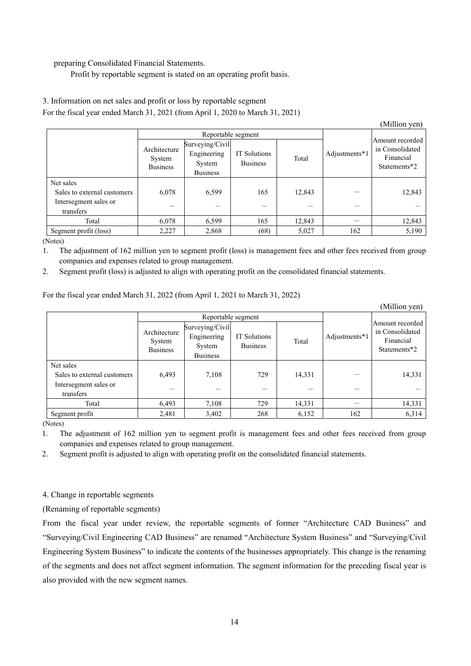### preparing Consolidated Financial Statements.

Profit by reportable segment is stated on an operating profit basis.

# 3. Information on net sales and profit or loss by reportable segment

For the fiscal year ended March 31, 2021 (from April 1, 2020 to March 31, 2021)

|                                    |                                           |                                                             |                                 |        |               | (Million yen)                                                   |
|------------------------------------|-------------------------------------------|-------------------------------------------------------------|---------------------------------|--------|---------------|-----------------------------------------------------------------|
|                                    |                                           | Reportable segment                                          |                                 |        |               |                                                                 |
|                                    | Architecture<br>System<br><b>Business</b> | Surveying/Civil<br>Engineering<br>System<br><b>Business</b> | IT Solutions<br><b>Business</b> | Total  | Adjustments*1 | Amount recorded<br>in Consolidated<br>Financial<br>Statements*2 |
| Net sales                          |                                           |                                                             |                                 |        |               |                                                                 |
| Sales to external customers        | 6,078                                     | 6,599                                                       | 165                             | 12,843 |               | 12,843                                                          |
| Intersegment sales or<br>transfers |                                           |                                                             |                                 |        |               |                                                                 |
|                                    |                                           |                                                             |                                 |        |               |                                                                 |
| Total                              | 6,078                                     | 6,599                                                       | 165                             | 12,843 |               | 12,843                                                          |
| Segment profit (loss)              | 2,227                                     | 2,868                                                       | (68)                            | 5,027  | 162           | 5,190                                                           |

(Notes)

1. The adjustment of 162 million yen to segment profit (loss) is management fees and other fees received from group companies and expenses related to group management.

2. Segment profit (loss) is adjusted to align with operating profit on the consolidated financial statements.

For the fiscal year ended March 31, 2022 (from April 1, 2021 to March 31, 2022)

|                                    |                                           |                                                             |                                 |        |               | (Million yen)                                                   |
|------------------------------------|-------------------------------------------|-------------------------------------------------------------|---------------------------------|--------|---------------|-----------------------------------------------------------------|
|                                    | Reportable segment                        |                                                             |                                 |        |               |                                                                 |
|                                    | Architecture<br>System<br><b>Business</b> | Surveying/Civil<br>Engineering<br>System<br><b>Business</b> | IT Solutions<br><b>Business</b> | Total  | Adjustments*1 | Amount recorded<br>in Consolidated<br>Financial<br>Statements*2 |
| Net sales                          |                                           |                                                             |                                 |        |               |                                                                 |
| Sales to external customers        | 6,493                                     | 7,108                                                       | 729                             | 14,331 |               | 14,331                                                          |
| Intersegment sales or<br>transfers |                                           |                                                             |                                 |        |               |                                                                 |
| Total                              | 6,493                                     | 7,108                                                       | 729                             | 14,331 |               | 14,331                                                          |
| Segment profit                     | 2,481                                     | 3,402                                                       | 268                             | 6,152  | 162           | 6,314                                                           |

(Notes)

1. The adjustment of 162 million yen to segment profit is management fees and other fees received from group companies and expenses related to group management.

2. Segment profit is adjusted to align with operating profit on the consolidated financial statements.

# 4. Change in reportable segments

(Renaming of reportable segments)

From the fiscal year under review, the reportable segments of former "Architecture CAD Business" and "Surveying/Civil Engineering CAD Business" are renamed "Architecture System Business" and "Surveying/Civil Engineering System Business" to indicate the contents of the businesses appropriately. This change is the renaming of the segments and does not affect segment information. The segment information for the preceding fiscal year is also provided with the new segment names.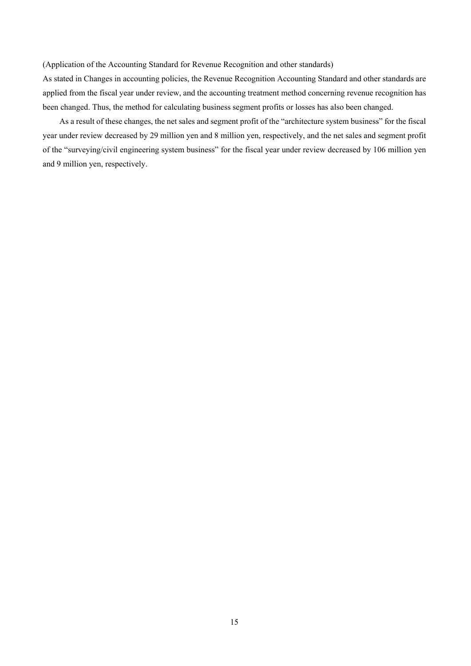(Application of the Accounting Standard for Revenue Recognition and other standards)

As stated in Changes in accounting policies, the Revenue Recognition Accounting Standard and other standards are applied from the fiscal year under review, and the accounting treatment method concerning revenue recognition has been changed. Thus, the method for calculating business segment profits or losses has also been changed.

As a result of these changes, the net sales and segment profit of the "architecture system business" for the fiscal year under review decreased by 29 million yen and 8 million yen, respectively, and the net sales and segment profit of the "surveying/civil engineering system business" for the fiscal year under review decreased by 106 million yen and 9 million yen, respectively.